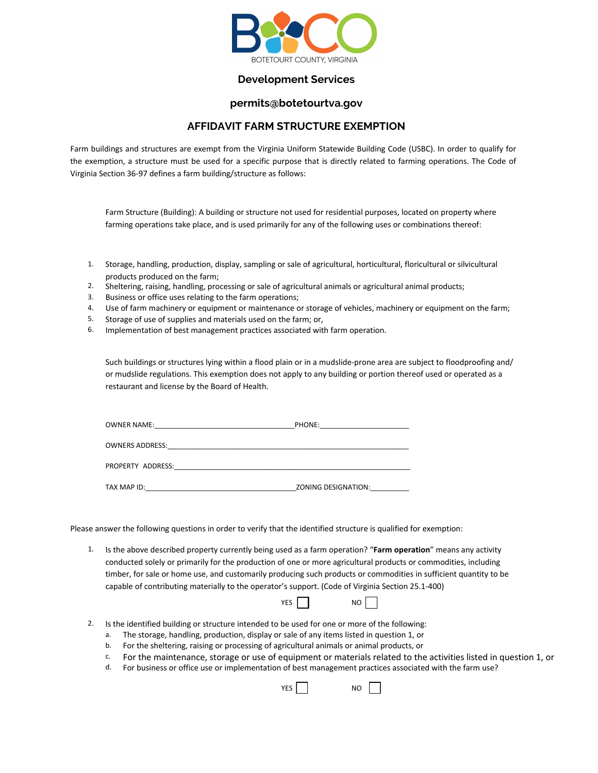

## **Development Services**

## **permits@botetourtva.gov**

## **AFFIDAVIT FARM STRUCTURE EXEMPTION**

Farm buildings and structures are exempt from the Virginia Uniform Statewide Building Code (USBC). In order to qualify for the exemption, a structure must be used for a specific purpose that is directly related to farming operations. The Code of Virginia Section 36-97 defines a farm building/structure as follows:

Farm Structure (Building): A building or structure not used for residential purposes, located on property where farming operations take place, and is used primarily for any of the following uses or combinations thereof:

- 1. Storage, handling, production, display, sampling or sale of agricultural, horticultural, floricultural or silvicultural products produced on the farm;
- 2. Sheltering, raising, handling, processing or sale of agricultural animals or agricultural animal products;
- 3. Business or office uses relating to the farm operations;
- 4. Use of farm machinery or equipment or maintenance or storage of vehicles, machinery or equipment on the farm;
- 5. Storage of use of supplies and materials used on the farm; or,
- 6. Implementation of best management practices associated with farm operation.

Such buildings or structures lying within a flood plain or in a mudslide-prone area are subject to floodproofing and/ or mudslide regulations. This exemption does not apply to any building or portion thereof used or operated as a restaurant and license by the Board of Health.

| <b>OWNER NAME:</b>     | PHONE:              |  |
|------------------------|---------------------|--|
| <b>OWNERS ADDRESS:</b> |                     |  |
| PROPERTY ADDRESS:      |                     |  |
| TAX MAP ID:            | ZONING DESIGNATION: |  |

Please answer the following questions in order to verify that the identified structure is qualified for exemption:

1. Is the above described property currently being used as a farm operation? "**Farm operation**" means any activity conducted solely or primarily for the production of one or more agricultural products or commodities, including timber, for sale or home use, and customarily producing such products or commodities in sufficient quantity to be capable of contributing materially to the operator's support. (Code of Virginia Section 25.1-400)

| VEC |  | NΩ |  |
|-----|--|----|--|
|     |  |    |  |

- 2. Is the identified building or structure intended to be used for one or more of the following:
	- a. The storage, handling, production, display or sale of any items listed in question 1, or
	- b. For the sheltering, raising or processing of agricultural animals or animal products, or
	- $c<sub>c</sub>$  For the maintenance, storage or use of equipment or materials related to the activities listed in question 1, or
	- d. For business or office use or implementation of best management practices associated with the farm use?

YES II NO